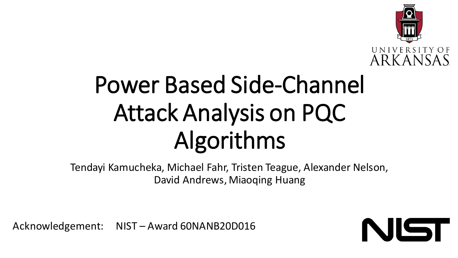

# Power Based Side-Channel Attack Analysis on PQC Algorithms

Tendayi Kamucheka, Michael Fahr, Tristen Teague, Alexander Nelson, David Andrews, Miaoqing Huang

Acknowledgement: NIST – Award 60NANB20D016

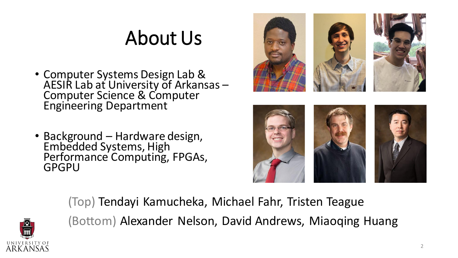#### About Us

- Computer Systems Design Lab & AESIR Lab at University of Arkansas – Computer Science & Computer Engineering Department
- Background Hardware design, Embedded Systems, High Performance Computing, FPGAs, GPGPU







(Top) Tendayi Kamucheka, Michael Fahr, Tristen Teague (Bottom) Alexander Nelson, David Andrews, Miaoqing Huang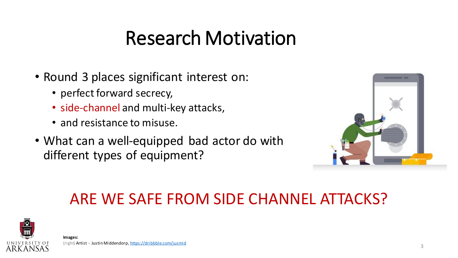### Research Motivation

- Round 3 places significant interest on:
	- perfect forward secrecy,
	- side-channel and multi-key attacks,
	- and resistance to misuse.
- What can a well-equipped bad actor do with different types of equipment?



#### ARE WE SAFE FROM SIDE CHANNEL ATTACKS?

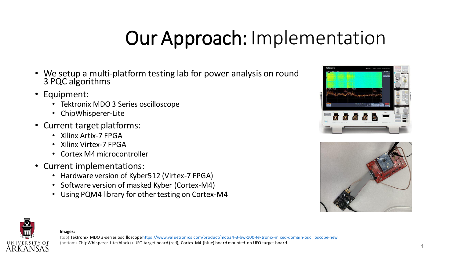# Our Approach: Implementation

- We setup a multi-platform testing lab for power analysis on round 3 PQC algorithms
- Equipment:
	- Tektronix MDO 3 Series oscilloscope
	- ChipWhisperer-Lite
- Current target platforms:
	- Xilinx Artix-7 FPGA
	- Xilinx Virtex-7 FPGA
	- Cortex M4 microcontroller
- Current implementations:
	- Hardware version of Kyber512 (Virtex-7 FPGA)
	- Software version of masked Kyber (Cortex-M4)
	- Using PQM4 library for other testing on Cortex-M4







**Images:**  (top) Tektronix MDO 3-series oscilloscope<https://www.valuetronics.com/product/mdo34-3-bw-100-tektronix-mixed-domain-oscilloscope-new> (bottom) ChipWhisperer-Lite (black) + UFO target board (red), Cortex-M4 (blue) board mounted on UFO target board.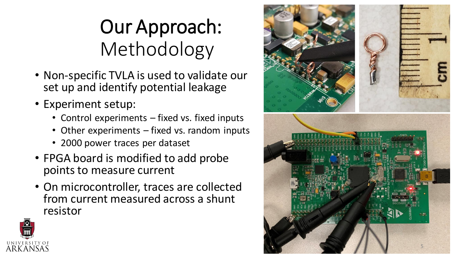# Our Approach: Methodology

- Non -specific TVLA is used to validate our set up and identify potential leakage
- Experiment setup:
	- Control experiments fixed vs. fixed inputs
	- Other experiments fixed vs. random inputs
	- 2000 power traces per dataset
- FPGA board is modified to add probe points to measure current
- On microcontroller, traces are collected from current measured across a shunt resistor



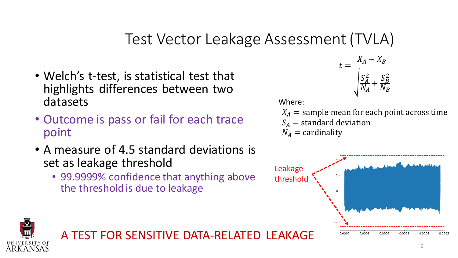#### Test Vector Leakage Assessment (TVLA)

- Welch's t-test, is statistical test that highlights differences between two datasets
- Outcome is pass or fail for each trace point
- A measure of 4.5 standard deviations is set as leakage threshold
	- 99.9999% confidence that anything above the threshold is due to leakage



Where:

 $X_A$  = sample mean for each point across time  $S_A$  = standard deviation

 $N_A =$  cardinality





A TEST FOR SENSITIVE DATA-RELATED LEAKAGE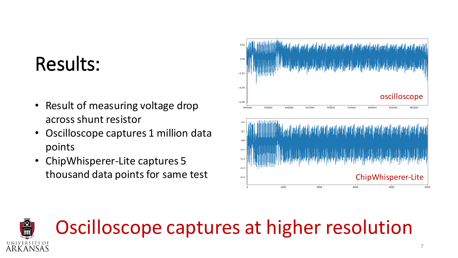### Results:

- Result of measuring voltage drop across shunt resistor
- Oscilloscope captures 1 million data points
- ChipWhisperer-Lite captures 5 thousand data points for same test



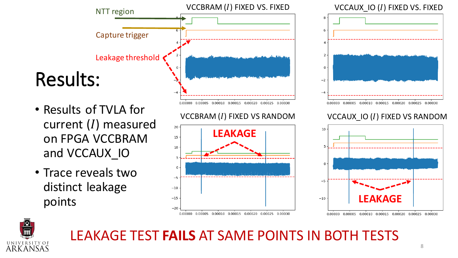

- Results of TVLA for current  $(I)$  measured on FPGA VCCBRAM and VCCAUX\_IO
- Trace reveals two distinct leakage points





#### VCCBRAM  $(I)$  FIXED VS RANDOM  $VCCAUX_1O(I)$  FIXED VS RANDOM





#### LEAKAGE TEST **FAILS** AT SAME POINTS IN BOTH TESTS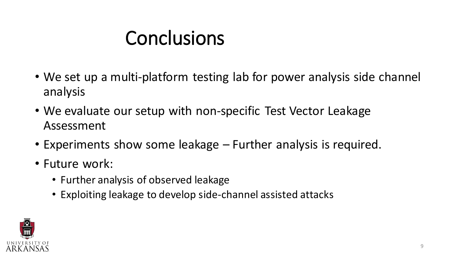## Conclusions

- We set up a multi-platform testing lab for power analysis side channel analysis
- We evaluate our setup with non-specific Test Vector Leakage Assessment
- Experiments show some leakage Further analysis is required.
- Future work:
	- Further analysis of observed leakage
	- Exploiting leakage to develop side-channel assisted attacks